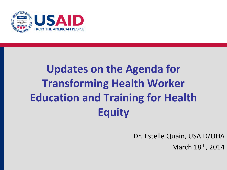

# **Updates on the Agenda for Transforming Health Worker Education and Training for Health Equity**

Dr. Estelle Quain, USAID/OHA

March 18<sup>th</sup>, 2014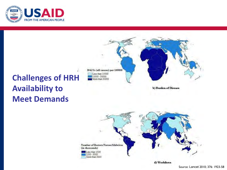

# DALYs (all causes) per 100000 Less than 15000 15000 - 30000 More than 30000

b) Burden of Disease

### **Challenges of HRH Availability to Meet Demands**



d) Workforce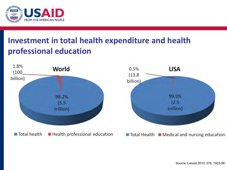

#### **Investment in total health expenditure and health professional education**

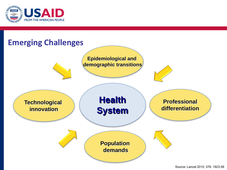

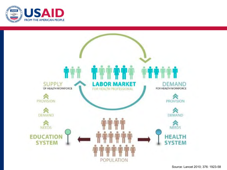

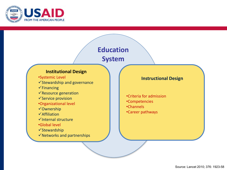

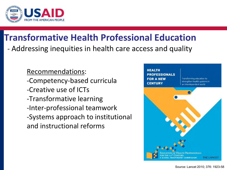

### **Transformative Health Professional Education**

- Addressing inequities in health care access and quality

Recommendations: -Competency-based curricula -Creative use of ICTs -Transformative learning -Inter-professional teamwork -Systems approach to institutional and instructional reforms

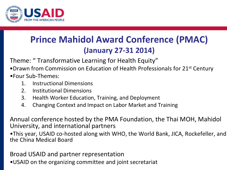

### **Prince Mahidol Award Conference (PMAC) (January 27-31 2014)**

Theme: " Transformative Learning for Health Equity"

- •Drawn from Commission on Education of Health Professionals for 21<sup>st</sup> Century •Four Sub-Themes:
	- 1. Instructional Dimensions
	- 2. Institutional Dimensions
	- 3. Health Worker Education, Training, and Deployment
	- 4. Changing Context and Impact on Labor Market and Training

Annual conference hosted by the PMA Foundation, the Thai MOH, Mahidol University, and international partners

•This year, USAID co-hosted along with WHO, the World Bank, JICA, Rockefeller, and the China Medical Board

Broad USAID and partner representation

•USAID on the organizing committee and joint secretariat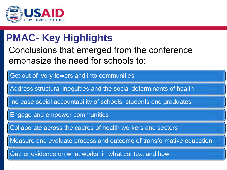

## **PMAC- Key Highlights**

#### Conclusions that emerged from the conference emphasize the need for schools to:

Get out of ivory towers and into communities

Address structural inequities and the social determinants of health

Increase social accountability of schools, students and graduates

Engage and empower communities

Collaborate across the cadres of health workers and sectors

Measure and evaluate process and outcome of transformative education

Gather evidence on what works, in what context and how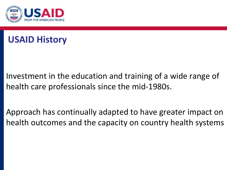



Investment in the education and training of a wide range of health care professionals since the mid-1980s.

Approach has continually adapted to have greater impact on health outcomes and the capacity on country health systems